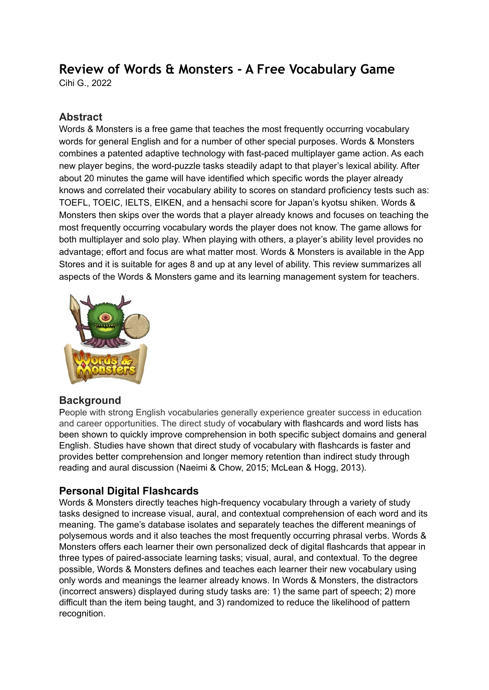# **Review of Words & Monsters - A Free Vocabulary Game**

Cihi G., 2022

#### **Abstract**

Words & Monsters is a free game that teaches the most frequently occurring vocabulary words for general English and for a number of other special purposes. Words & Monsters combines a patented adaptive technology with fast-paced multiplayer game action. As each new player begins, the word-puzzle tasks steadily adapt to that player's lexical ability. After about 20 minutes the game will have identified which specific words the player already knows and correlated their vocabulary ability to scores on standard proficiency tests such as: TOEFL, TOEIC, IELTS, EIKEN, and a hensachi score for Japan's kyotsu shiken. Words & Monsters then skips over the words that a player already knows and focuses on teaching the most frequently occurring vocabulary words the player does not know. The game allows for both multiplayer and solo play. When playing with others, a player's ability level provides no advantage; effort and focus are what matter most. Words & Monsters is available in the App Stores and it is suitable for ages 8 and up at any level of ability. This review summarizes all aspects of the Words & Monsters game and its learning management system for teachers.



#### **Background**

People with strong English vocabularies generally experience greater success in education and career opportunities. The direct study of vocabulary with flashcards and word lists has been shown to quickly improve comprehension in both specific subject domains and general English. Studies have shown that direct study of vocabulary with flashcards is faster and provides better comprehension and longer memory retention than indirect study through reading and aural discussion (Naeimi & Chow, 2015; McLean & Hogg, 2013).

#### **Personal Digital Flashcards**

Words & Monsters directly teaches high-frequency vocabulary through a variety of study tasks designed to increase visual, aural, and contextual comprehension of each word and its meaning. The game's database isolates and separately teaches the different meanings of polysemous words and it also teaches the most frequently occurring phrasal verbs. Words & Monsters offers each learner their own personalized deck of digital flashcards that appear in three types of paired-associate learning tasks; visual, aural, and contextual. To the degree possible, Words & Monsters defines and teaches each learner their new vocabulary using only words and meanings the learner already knows. In Words & Monsters, the distractors (incorrect answers) displayed during study tasks are: 1) the same part of speech; 2) more difficult than the item being taught, and 3) randomized to reduce the likelihood of pattern recognition.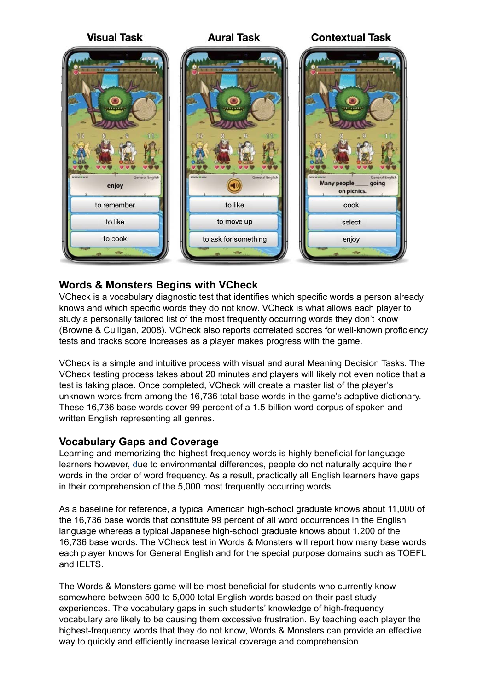

#### **Words & Monsters Begins with VCheck**

VCheck is a vocabulary diagnostic test that identifies which specific words a person already knows and which specific words they do not know. VCheck is what allows each player to study a personally tailored list of the most frequently occurring words they don't know (Browne & Culligan, 2008). VCheck also reports correlated scores for well-known proficiency tests and tracks score increases as a player makes progress with the game.

VCheck is a simple and intuitive process with visual and aural Meaning Decision Tasks. The VCheck testing process takes about 20 minutes and players will likely not even notice that a test is taking place. Once completed, VCheck will create a master list of the player's unknown words from among the 16,736 total base words in the game's adaptive dictionary. These 16,736 base words cover 99 percent of a 1.5-billion-word corpus of spoken and written English representing all genres.

#### **Vocabulary Gaps and Coverage**

Learning and memorizing the highest-frequency words is highly beneficial for language learners however, due to environmental differences, people do not naturally acquire their words in the order of word frequency. As a result, practically all English learners have gaps in their comprehension of the 5,000 most frequently occurring words.

As a baseline for reference, a typical American high-school graduate knows about 11,000 of the 16,736 base words that constitute 99 percent of all word occurrences in the English language whereas a typical Japanese high-school graduate knows about 1,200 of the 16,736 base words. The VCheck test in Words & Monsters will report how many base words each player knows for General English and for the special purpose domains such as TOEFL and IELTS.

The Words & Monsters game will be most beneficial for students who currently know somewhere between 500 to 5,000 total English words based on their past study experiences. The vocabulary gaps in such students' knowledge of high-frequency vocabulary are likely to be causing them excessive frustration. By teaching each player the highest-frequency words that they do not know, Words & Monsters can provide an effective way to quickly and efficiently increase lexical coverage and comprehension.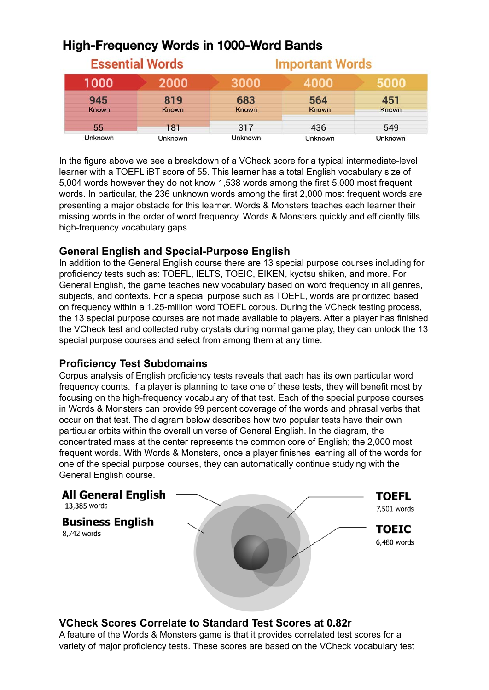## **High-Frequency Words in 1000-Word Bands**

|              | <b>Essential Words</b> | <b>Important Words</b> |         |                |  |  |
|--------------|------------------------|------------------------|---------|----------------|--|--|
| 1000         | 2000                   | 3000                   | 4000    | 5000           |  |  |
| 945          | 819                    | 683                    | 564     | 451            |  |  |
| <b>Known</b> | <b>Known</b>           | <b>Known</b>           | Known   | Known          |  |  |
| 55           | 181                    | 317                    | 436     | 549            |  |  |
| Unknown      | <b>Unknown</b>         | Unknown                | Unknown | <b>Unknown</b> |  |  |

In the figure above we see a breakdown of a VCheck score for a typical intermediate-level learner with a TOEFL iBT score of 55. This learner has a total English vocabulary size of 5,004 words however they do not know 1,538 words among the first 5,000 most frequent words. In particular, the 236 unknown words among the first 2,000 most frequent words are presenting a major obstacle for this learner. Words & Monsters teaches each learner their missing words in the order of word frequency. Words & Monsters quickly and efficiently fills high-frequency vocabulary gaps.

#### **General English and Special-Purpose English**

In addition to the General English course there are 13 special purpose courses including for proficiency tests such as: TOEFL, IELTS, TOEIC, EIKEN, kyotsu shiken, and more. For General English, the game teaches new vocabulary based on word frequency in all genres, subjects, and contexts. For a special purpose such as TOEFL, words are prioritized based on frequency within a 1.25-million word TOEFL corpus. During the VCheck testing process, the 13 special purpose courses are not made available to players. After a player has finished the VCheck test and collected ruby crystals during normal game play, they can unlock the 13 special purpose courses and select from among them at any time.

#### **Proficiency Test Subdomains**

Corpus analysis of English proficiency tests reveals that each has its own particular word frequency counts. If a player is planning to take one of these tests, they will benefit most by focusing on the high-frequency vocabulary of that test. Each of the special purpose courses in Words & Monsters can provide 99 percent coverage of the words and phrasal verbs that occur on that test. The diagram below describes how two popular tests have their own particular orbits within the overall universe of General English. In the diagram, the concentrated mass at the center represents the common core of English; the 2,000 most frequent words. With Words & Monsters, once a player finishes learning all of the words for one of the special purpose courses, they can automatically continue studying with the General English course.



## **VCheck Scores Correlate to Standard Test Scores at 0.82r**

A feature of the Words & Monsters game is that it provides correlated test scores for a variety of major proficiency tests. These scores are based on the VCheck vocabulary test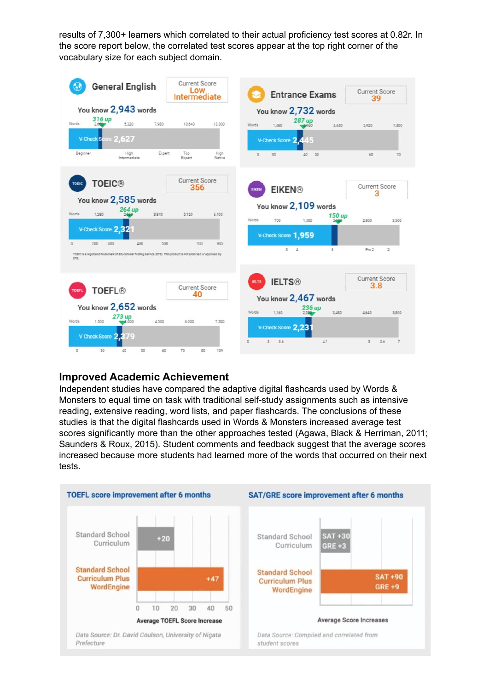results of 7,300+ learners which correlated to their actual proficiency test scores at 0.82r. In the score report below, the correlated test scores appear at the top right corner of the vocabulary size for each subject domain.



#### **Improved Academic Achievement**

Independent studies have compared the adaptive digital flashcards used by Words & Monsters to equal time on task with traditional self-study assignments such as intensive reading, extensive reading, word lists, and paper flashcards. The conclusions of these studies is that the digital flashcards used in Words & Monsters increased average test scores significantly more than the other approaches tested (Agawa, Black & Herriman, 2011; Saunders & Roux, 2015). Student comments and feedback suggest that the average scores increased because more students had learned more of the words that occurred on their next tests.

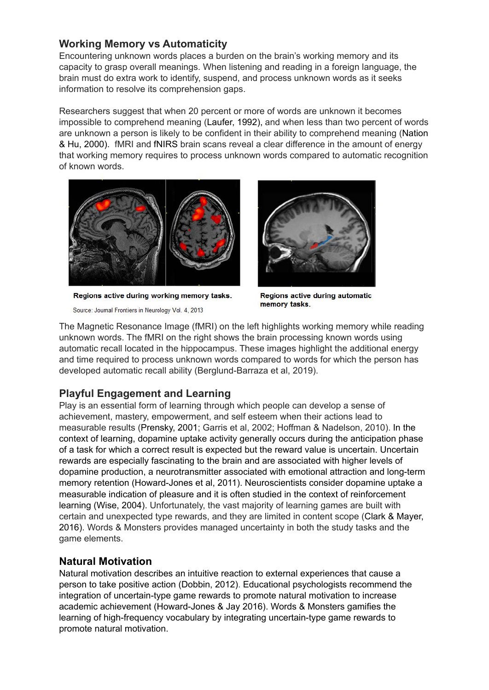#### **Working Memory vs Automaticity**

Encountering unknown words places a burden on the brain's working memory and its capacity to grasp overall meanings. When listening and reading in a foreign language, the brain must do extra work to identify, suspend, and process unknown words as it seeks information to resolve its comprehension gaps.

Researchers suggest that when 20 percent or more of words are unknown it becomes impossible to comprehend meaning (Laufer, 1992), and when less than two percent of words are unknown a person is likely to be confident in their ability to comprehend meaning (Nation & Hu, 2000). fMRI and fNIRS brain scans reveal a clear difference in the amount of energy that working memory requires to process unknown words compared to automatic recognition of known words.



Regions active during working memory tasks.

Source: Journal Frontiers in Neurology Vol. 4, 2013



Regions active during automatic memory tasks.

The Magnetic Resonance Image (fMRI) on the left highlights working memory while reading unknown words. The fMRI on the right shows the brain processing known words using automatic recall located in the hippocampus. These images highlight the additional energy and time required to process unknown words compared to words for which the person has developed automatic recall ability (Berglund-Barraza et al, 2019).

## **Playful Engagement and Learning**

Play is an essential form of learning through which people can develop a sense of achievement, mastery, empowerment, and self esteem when their actions lead to measurable results (Prensky, 2001; Garris et al, 2002; Hoffman & Nadelson, 2010). In the context of learning, dopamine uptake activity generally occurs during the anticipation phase of a task for which a correct result is expected but the reward value is uncertain. Uncertain rewards are especially fascinating to the brain and are associated with higher levels of dopamine production, a neurotransmitter associated with emotional attraction and long-term memory retention (Howard-Jones et al, 2011). Neuroscientists consider dopamine uptake a measurable indication of pleasure and it is often studied in the context of reinforcement learning (Wise, 2004). Unfortunately, the vast majority of learning games are built with certain and unexpected type rewards, and they are limited in content scope (Clark & Mayer, 2016). Words & Monsters provides managed uncertainty in both the study tasks and the game elements.

#### **Natural Motivation**

Natural motivation describes an intuitive reaction to external experiences that cause a person to take positive action (Dobbin, 2012). Educational psychologists recommend the integration of uncertain-type game rewards to promote natural motivation to increase academic achievement (Howard-Jones & Jay 2016). Words & Monsters gamifies the learning of high-frequency vocabulary by integrating uncertain-type game rewards to promote natural motivation.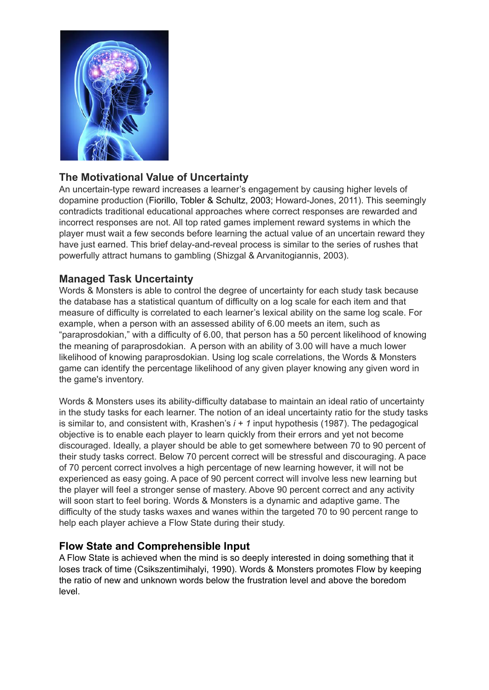

## **The Motivational Value of Uncertainty**

An uncertain-type reward increases a learner's engagement by causing higher levels of dopamine production (Fiorillo, Tobler & Schultz, 2003; Howard-Jones, 2011). This seemingly contradicts traditional educational approaches where correct responses are rewarded and incorrect responses are not. All top rated games implement reward systems in which the player must wait a few seconds before learning the actual value of an uncertain reward they have just earned. This brief delay-and-reveal process is similar to the series of rushes that powerfully attract humans to gambling (Shizgal & Arvanitogiannis, 2003).

#### **Managed Task Uncertainty**

Words & Monsters is able to control the degree of uncertainty for each study task because the database has a statistical quantum of difficulty on a log scale for each item and that measure of difficulty is correlated to each learner's lexical ability on the same log scale. For example, when a person with an assessed ability of 6.00 meets an item, such as "paraprosdokian," with a difficulty of 6.00, that person has a 50 percent likelihood of knowing the meaning of paraprosdokian. A person with an ability of 3.00 will have a much lower likelihood of knowing paraprosdokian. Using log scale correlations, the Words & Monsters game can identify the percentage likelihood of any given player knowing any given word in the game's inventory.

Words & Monsters uses its ability-difficulty database to maintain an ideal ratio of uncertainty in the study tasks for each learner. The notion of an ideal uncertainty ratio for the study tasks is similar to, and consistent with, Krashen's *i + 1* input hypothesis (1987). The pedagogical objective is to enable each player to learn quickly from their errors and yet not become discouraged. Ideally, a player should be able to get somewhere between 70 to 90 percent of their study tasks correct. Below 70 percent correct will be stressful and discouraging. A pace of 70 percent correct involves a high percentage of new learning however, it will not be experienced as easy going. A pace of 90 percent correct will involve less new learning but the player will feel a stronger sense of mastery. Above 90 percent correct and any activity will soon start to feel boring. Words & Monsters is a dynamic and adaptive game. The difficulty of the study tasks waxes and wanes within the targeted 70 to 90 percent range to help each player achieve a Flow State during their study.

#### **Flow State and Comprehensible Input**

A Flow State is achieved when the mind is so deeply interested in doing something that it loses track of time (Csikszentimihalyi, 1990). Words & Monsters promotes Flow by keeping the ratio of new and unknown words below the frustration level and above the boredom level.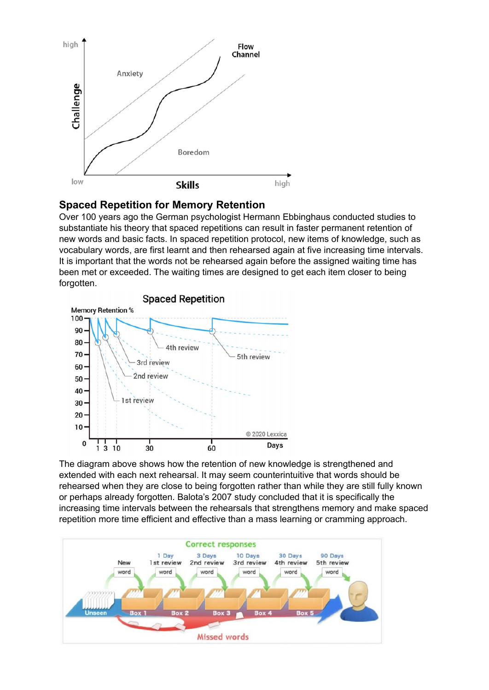

#### **Spaced Repetition for Memory Retention**

Over 100 years ago the German psychologist Hermann Ebbinghaus conducted studies to substantiate his theory that spaced repetitions can result in faster permanent retention of new words and basic facts. In spaced repetition protocol, new items of knowledge, such as vocabulary words, are first learnt and then rehearsed again at five increasing time intervals. It is important that the words not be rehearsed again before the assigned waiting time has been met or exceeded. The waiting times are designed to get each item closer to being forgotten.



The diagram above shows how the retention of new knowledge is strengthened and extended with each next rehearsal. It may seem counterintuitive that words should be rehearsed when they are close to being forgotten rather than while they are still fully known or perhaps already forgotten. Balota's 2007 study concluded that it is specifically the increasing time intervals between the rehearsals that strengthens memory and make spaced repetition more time efficient and effective than a mass learning or cramming approach.

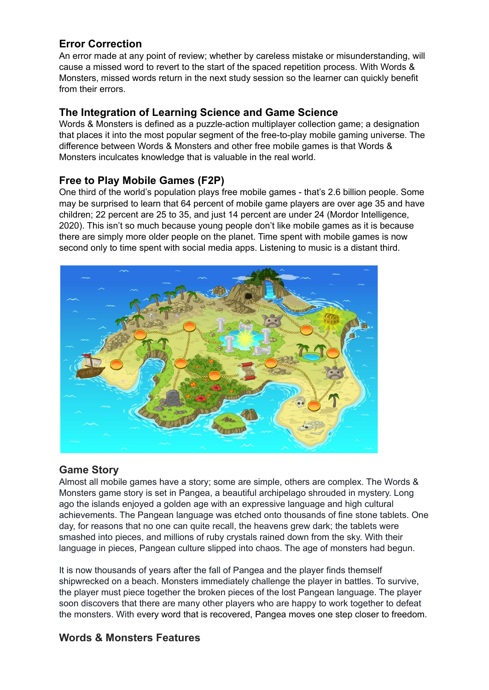### **Error Correction**

An error made at any point of review; whether by careless mistake or misunderstanding, will cause a missed word to revert to the start of the spaced repetition process. With Words & Monsters, missed words return in the next study session so the learner can quickly benefit from their errors.

#### **The Integration of Learning Science and Game Science**

Words & Monsters is defined as a puzzle-action multiplayer collection game; a designation that places it into the most popular segment of the free-to-play mobile gaming universe. The difference between Words & Monsters and other free mobile games is that Words & Monsters inculcates knowledge that is valuable in the real world.

#### **Free to Play Mobile Games (F2P)**

One third of the world's population plays free mobile games - that's 2.6 billion people. Some may be surprised to learn that 64 percent of mobile game players are over age 35 and have children; 22 percent are 25 to 35, and just 14 percent are under 24 (Mordor Intelligence, 2020). This isn't so much because young people don't like mobile games as it is because there are simply more older people on the planet. Time spent with mobile games is now second only to time spent with social media apps. Listening to music is a distant third.



#### **Game Story**

Almost all mobile games have a story; some are simple, others are complex. The Words & Monsters game story is set in Pangea, a beautiful archipelago shrouded in mystery. Long ago the islands enjoyed a golden age with an expressive language and high cultural achievements. The Pangean language was etched onto thousands of fine stone tablets. One day, for reasons that no one can quite recall, the heavens grew dark; the tablets were smashed into pieces, and millions of ruby crystals rained down from the sky. With their language in pieces, Pangean culture slipped into chaos. The age of monsters had begun.

It is now thousands of years after the fall of Pangea and the player finds themself shipwrecked on a beach. Monsters immediately challenge the player in battles. To survive, the player must piece together the broken pieces of the lost Pangean language. The player soon discovers that there are many other players who are happy to work together to defeat the monsters. With every word that is recovered, Pangea moves one step closer to freedom.

#### **Words & Monsters Features**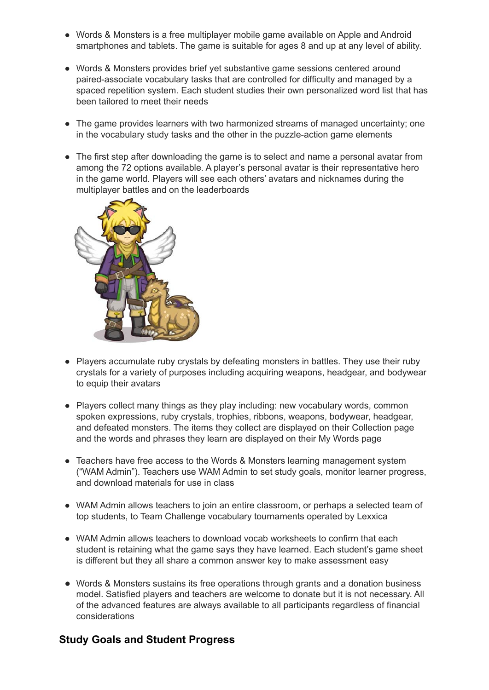- Words & Monsters is a free multiplayer mobile game available on Apple and Android smartphones and tablets. The game is suitable for ages 8 and up at any level of ability.
- Words & Monsters provides brief yet substantive game sessions centered around paired-associate vocabulary tasks that are controlled for difficulty and managed by a spaced repetition system. Each student studies their own personalized word list that has been tailored to meet their needs
- The game provides learners with two harmonized streams of managed uncertainty; one in the vocabulary study tasks and the other in the puzzle-action game elements
- The first step after downloading the game is to select and name a personal avatar from among the 72 options available. A player's personal avatar is their representative hero in the game world. Players will see each others' avatars and nicknames during the multiplayer battles and on the leaderboards



- Players accumulate ruby crystals by defeating monsters in battles. They use their ruby crystals for a variety of purposes including acquiring weapons, headgear, and bodywear to equip their avatars
- Players collect many things as they play including: new vocabulary words, common spoken expressions, ruby crystals, trophies, ribbons, weapons, bodywear, headgear, and defeated monsters. The items they collect are displayed on their Collection page and the words and phrases they learn are displayed on their My Words page
- Teachers have free access to the Words & Monsters learning management system ("WAM Admin"). Teachers use WAM Admin to set study goals, monitor learner progress, and download materials for use in class
- WAM Admin allows teachers to join an entire classroom, or perhaps a selected team of top students, to Team Challenge vocabulary tournaments operated by Lexxica
- WAM Admin allows teachers to download vocab worksheets to confirm that each student is retaining what the game says they have learned. Each student's game sheet is different but they all share a common answer key to make assessment easy
- Words & Monsters sustains its free operations through grants and a donation business model. Satisfied players and teachers are welcome to donate but it is not necessary. All of the advanced features are always available to all participants regardless of financial considerations

## **Study Goals and Student Progress**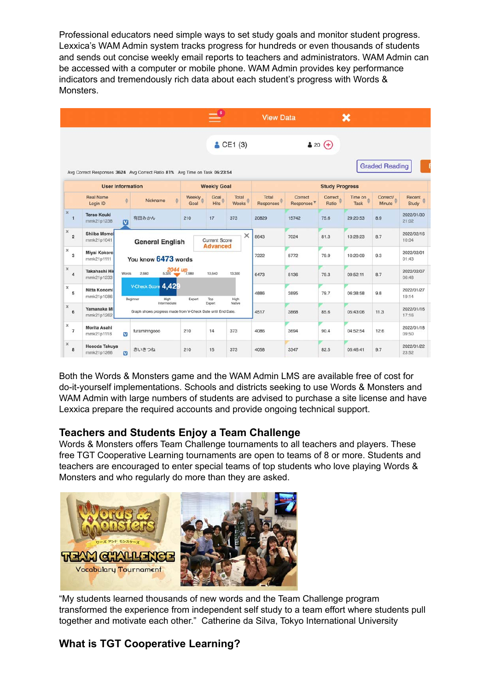Professional educators need simple ways to set study goals and monitor student progress. Lexxica's WAM Admin system tracks progress for hundreds or even thousands of students and sends out concise weekly email reports to teachers and administrators. WAM Admin can be accessed with a computer or mobile phone. WAM Admin provides key performance indicators and tremendously rich data about each student's progress with Words & Monsters.

|                              |                                   |                                                                                                                 |                                                                            |                | $\equiv$ <sup>6</sup> |                       | <b>View Data</b>      |                                   |                  | ×               |                       |                     |
|------------------------------|-----------------------------------|-----------------------------------------------------------------------------------------------------------------|----------------------------------------------------------------------------|----------------|-----------------------|-----------------------|-----------------------|-----------------------------------|------------------|-----------------|-----------------------|---------------------|
|                              |                                   |                                                                                                                 |                                                                            |                |                       | CE1(3)                |                       |                                   | $320 (+)$        |                 |                       |                     |
|                              |                                   |                                                                                                                 | Avg Correct Responses 3624 Avg Correct Ratio 81% Avg Time on Task 06:23:54 |                |                       |                       |                       |                                   |                  |                 | <b>Graded Reading</b> |                     |
|                              | <b>User Information</b>           |                                                                                                                 |                                                                            |                | <b>Weekly Goal</b>    |                       | <b>Study Progress</b> |                                   |                  |                 |                       |                     |
|                              | <b>Real Name</b><br>Login ID      | ÷                                                                                                               | ê<br>Nickname                                                              | Weekly<br>Goal | Goal<br><b>Hits</b>   | Total<br><b>Weeks</b> | Total<br>Responses    | Correct<br>Responses <sup>V</sup> | Correct<br>Ratio | Time on<br>Task | Correct/<br>Minute    | Recent<br>Study     |
| X.<br>$\mathbf{1}$           | <b>Terao Kouki</b><br>mmk21p1238  | $\mathbf{v}$                                                                                                    | 有田みかん                                                                      | 210            | 17                    | 373                   | 20829                 | 15742                             | 75.6             | 29:20:53        | 8.9                   | 2022/01/30<br>21:02 |
| x<br>$\overline{2}$          | <b>Shiiba Momol</b><br>mmk21p1041 |                                                                                                                 | <b>General English</b>                                                     |                | <b>Current Score</b>  | $\times$              | 8643                  | 7024                              | 81.3             | 13:28:23        | 8.7                   | 2022/02/16<br>10:04 |
| x<br>$\overline{\mathbf{3}}$ | Miyai Kokoro<br>mmk21p1111        | <b>Advanced</b><br>You know 6473 words<br>2044 up <sub>7,980</sub><br><b>Words</b><br>2.660<br>10,640<br>13,300 |                                                                            |                |                       |                       | 7222                  | 5772                              | 79.9             | 10:20:09        | 9.3                   | 2022/02/01<br>01:43 |
| x<br>$\overline{4}$          | Takahashi Hir<br>mmk21p1233       |                                                                                                                 |                                                                            |                |                       |                       | 6473                  | 5136                              | 79.3             | 09:52:11        | 8.7                   | 2022/02/07<br>06:48 |
| x<br>5                       | Nitta Konomi<br>mmk21p1086        |                                                                                                                 | V-Check Score 4,429<br>Beginner<br>High                                    | Expert         | Top<br>High           | 4886                  | 3895                  | 79.7                              | 06:38:58         | 9.8             | 2022/01/27<br>19:14   |                     |
| x<br>6                       | Yamanaka Mi<br>mmk21p1262         | Intermediate<br>Expert<br>Native<br>Graph shows progress made from V-Check Date until End Date.                 |                                                                            |                |                       |                       | 4517                  | 3868                              | 85.6             | 05:43:06        | 11.3                  | 2022/01/16<br>17:16 |
| x<br>$\overline{7}$          | Morita Asahi<br>mmk21p1118        | V                                                                                                               | furaminngooo                                                               | 210            | 14                    | 373                   | 4086                  | 3694                              | 90.4             | 04:52:54        | 12.6                  | 2022/01/18<br>09:50 |
| x<br>8                       | Hosoda Takuya<br>mmk21p1266       | $\mathbf{v}$                                                                                                    | 赤いきつね                                                                      | 210            | 15                    | 373                   | 4058                  | 3347                              | 82.5             | 05:46:41        | 9.7                   | 2022/01/22<br>23:52 |

Both the Words & Monsters game and the WAM Admin LMS are available free of cost for do-it-yourself implementations. Schools and districts seeking to use Words & Monsters and WAM Admin with large numbers of students are advised to purchase a site license and have Lexxica prepare the required accounts and provide ongoing technical support.

## **Teachers and Students Enjoy a Team Challenge**

Words & Monsters offers Team Challenge tournaments to all teachers and players. These free TGT Cooperative Learning tournaments are open to teams of 8 or more. Students and teachers are encouraged to enter special teams of top students who love playing Words & Monsters and who regularly do more than they are asked.



"My students learned thousands of new words and the Team Challenge program transformed the experience from independent self study to a team effort where students pull together and motivate each other." Catherine da Silva, Tokyo International University

## **What is TGT Cooperative Learning?**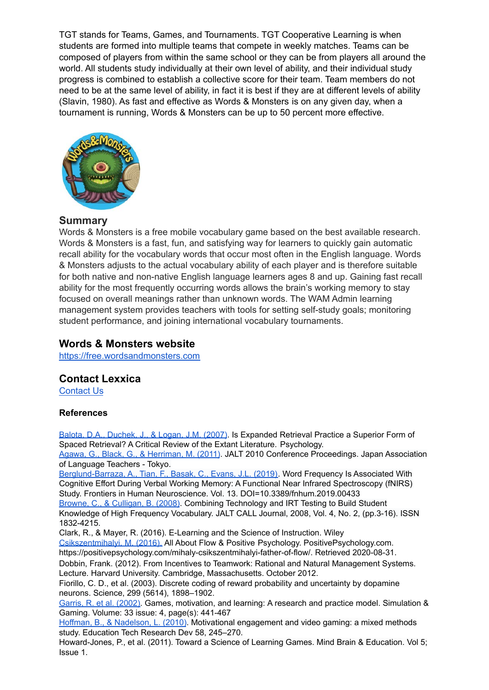TGT stands for Teams, Games, and Tournaments. TGT Cooperative Learning is when students are formed into multiple teams that compete in weekly matches. Teams can be composed of players from within the same school or they can be from players all around the world. All students study individually at their own level of ability, and their individual study progress is combined to establish a collective score for their team. Team members do not need to be at the same level of ability, in fact it is best if they are at different levels of ability (Slavin, 1980). As fast and effective as Words & Monsters is on any given day, when a tournament is running, Words & Monsters can be up to 50 percent more effective.



#### **Summary**

Words & Monsters is a free mobile vocabulary game based on the best available research. Words & Monsters is a fast, fun, and satisfying way for learners to quickly gain automatic recall ability for the vocabulary words that occur most often in the English language. Words & Monsters adjusts to the actual vocabulary ability of each player and is therefore suitable for both native and non-native English language learners ages 8 and up. Gaining fast recall ability for the most frequently occurring words allows the brain's working memory to stay focused on overall meanings rather than unknown words. The WAM Admin learning management system provides teachers with tools for setting self-study goals; monitoring student performance, and joining international vocabulary tournaments.

#### **Words & Monsters website**

[https://free.wordsandmonsters.com](http://free.wordsandmonsters.com)

#### **Contact Lexxica**

[Contact Us](https://free.wordsandmonsters.com/contact/)

#### **References**

[Balota, D.A., Duchek, J., & Logan, J.M. \(2007\).](http://psychnet.wustl.edu/coglab/wp-content/uploads/2015/01/2007-Is-expanded.pdf) Is Expanded Retrieval Practice a Superior Form of Spaced Retrieval? A Critical Review of the Extant Literature. Psychology. [Agawa, G., Black, G., & Herriman, M. \(2011\)](https://www.wordengine.jp/research/pdf/we30/Effects_of_web-based_vocabulary_training_for_TOEIC.pdf). JALT 2010 Conference Proceedings. Japan Association of Language Teachers - Tokyo. [Berglund-Barraza, A., Tian, F., Basak, C., Evans, J.L. \(2019\).](https://www.frontiersin.org/article/10.3389/fnhum.2019.00433) Word Frequency Is Associated With Cognitive Effort During Verbal Working Memory: A Functional Near Infrared Spectroscopy (fNIRS) Study. Frontiers in Human Neuroscience. Vol. 13. DOI=10.3389/fnhum.2019.00433 [Browne, C., & Culligan, B. \(2008\)](https://bit.ly/2V37ru7). Combining Technology and IRT Testing to Build Student Knowledge of High Frequency Vocabulary. JALT CALL Journal, 2008, Vol. 4, No. 2, (pp.3-16). ISSN 1832-4215. Clark, R., & Mayer, R. (2016). E-Learning and the Science of Instruction. Wiley [Csikszentmihalyi, M. \(2016\).](https://positivepsychology.com/mihaly-csikszentmihalyi-father-of-flow/) All About Flow & Positive Psychology. PositivePsychology.com. https://positivepsychology.com/mihaly-csikszentmihalyi-father-of-flow/. Retrieved 2020-08-31. Dobbin, Frank. (2012). From Incentives to Teamwork: Rational and Natural Management Systems. Lecture. Harvard University. Cambridge, Massachusetts. October 2012. Fiorillo, C. D., et al. (2003). Discrete coding of reward probability and uncertainty by dopamine neurons. Science, 299 (5614), 1898–1902. [Garris, R. et al. \(2002\).](https://bit.ly/2DzJXXt) Games, motivation, and learning: A research and practice model. Simulation & Gaming. Volume: 33 issue: 4, page(s): 441-467 [Hoffman, B., & Nadelson, L. \(2010\)](https://doi.org/10.1007/s11423-009-9134-9). Motivational engagement and video gaming: a mixed methods

study. Education Tech Research Dev 58, 245–270. Howard-Jones, P., et al. (2011). Toward a Science of Learning Games. Mind Brain & Education. Vol 5; Issue 1.